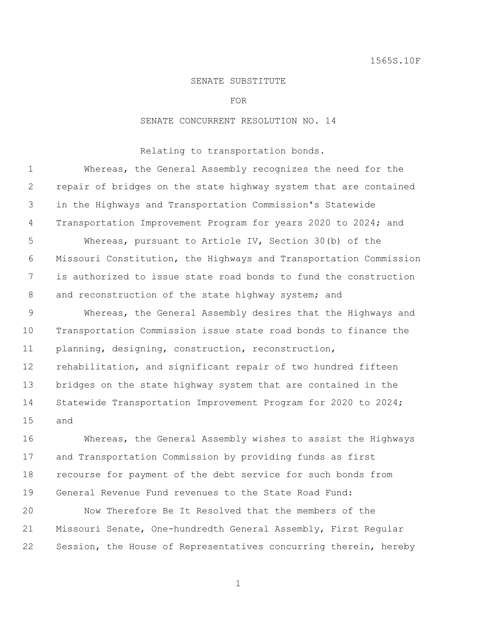## SENATE SUBSTITUTE

FOR

## SENATE CONCURRENT RESOLUTION NO. 14

Relating to transportation bonds.

 Whereas, the General Assembly recognizes the need for the repair of bridges on the state highway system that are contained in the Highways and Transportation Commission's Statewide 4 Transportation Improvement Program for years 2020 to 2024; and Whereas, pursuant to Article IV, Section 30(b) of the Missouri Constitution, the Highways and Transportation Commission is authorized to issue state road bonds to fund the construction 8 and reconstruction of the state highway system; and Whereas, the General Assembly desires that the Highways and Transportation Commission issue state road bonds to finance the planning, designing, construction, reconstruction, rehabilitation, and significant repair of two hundred fifteen bridges on the state highway system that are contained in the Statewide Transportation Improvement Program for 2020 to 2024; and

 Whereas, the General Assembly wishes to assist the Highways and Transportation Commission by providing funds as first recourse for payment of the debt service for such bonds from General Revenue Fund revenues to the State Road Fund:

 Now Therefore Be It Resolved that the members of the Missouri Senate, One-hundredth General Assembly, First Regular Session, the House of Representatives concurring therein, hereby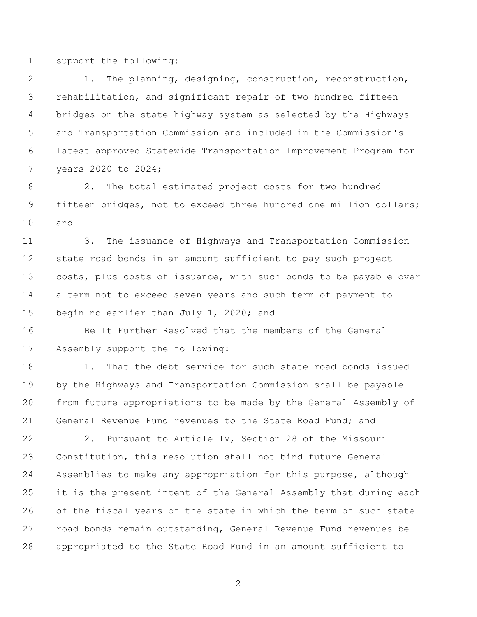support the following:

 1. The planning, designing, construction, reconstruction, rehabilitation, and significant repair of two hundred fifteen bridges on the state highway system as selected by the Highways and Transportation Commission and included in the Commission's latest approved Statewide Transportation Improvement Program for years 2020 to 2024;

 2. The total estimated project costs for two hundred fifteen bridges, not to exceed three hundred one million dollars; and

 3. The issuance of Highways and Transportation Commission state road bonds in an amount sufficient to pay such project 13 costs, plus costs of issuance, with such bonds to be payable over a term not to exceed seven years and such term of payment to 15 begin no earlier than July 1, 2020; and

 Be It Further Resolved that the members of the General Assembly support the following:

 1. That the debt service for such state road bonds issued by the Highways and Transportation Commission shall be payable from future appropriations to be made by the General Assembly of General Revenue Fund revenues to the State Road Fund; and

 2. Pursuant to Article IV, Section 28 of the Missouri Constitution, this resolution shall not bind future General Assemblies to make any appropriation for this purpose, although it is the present intent of the General Assembly that during each of the fiscal years of the state in which the term of such state road bonds remain outstanding, General Revenue Fund revenues be appropriated to the State Road Fund in an amount sufficient to